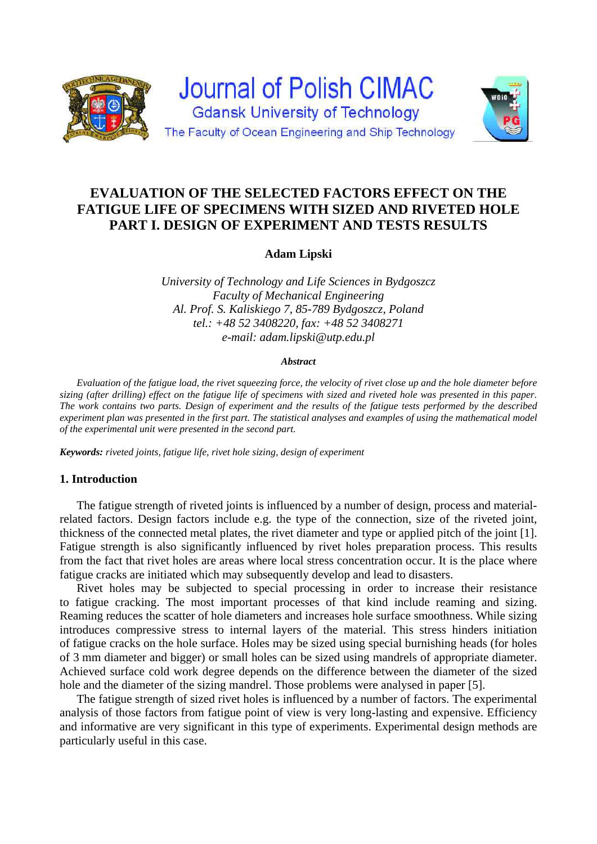



**Adam Lipski** 

*University of Technology and Life Sciences in Bydgoszcz Faculty of Mechanical Engineering Al. Prof. S. Kaliskiego 7, 85-789 Bydgoszcz, Poland tel.: +48 52 3408220, fax: +48 52 3408271 e-mail: adam.lipski@utp.edu.pl* 

#### *Abstract*

*Evaluation of the fatigue load, the rivet squeezing force, the velocity of rivet close up and the hole diameter before sizing (after drilling) effect on the fatigue life of specimens with sized and riveted hole was presented in this paper. The work contains two parts. Design of experiment and the results of the fatigue tests performed by the described experiment plan was presented in the first part. The statistical analyses and examples of using the mathematical model of the experimental unit were presented in the second part.* 

*Keywords: riveted joints, fatigue life, rivet hole sizing, design of experiment* 

## **1. Introduction**

The fatigue strength of riveted joints is influenced by a number of design, process and materialrelated factors. Design factors include e.g. the type of the connection, size of the riveted joint, thickness of the connected metal plates, the rivet diameter and type or applied pitch of the joint [1]. Fatigue strength is also significantly influenced by rivet holes preparation process. This results from the fact that rivet holes are areas where local stress concentration occur. It is the place where fatigue cracks are initiated which may subsequently develop and lead to disasters.

Rivet holes may be subjected to special processing in order to increase their resistance to fatigue cracking. The most important processes of that kind include reaming and sizing. Reaming reduces the scatter of hole diameters and increases hole surface smoothness. While sizing introduces compressive stress to internal layers of the material. This stress hinders initiation of fatigue cracks on the hole surface. Holes may be sized using special burnishing heads (for holes of 3 mm diameter and bigger) or small holes can be sized using mandrels of appropriate diameter. Achieved surface cold work degree depends on the difference between the diameter of the sized hole and the diameter of the sizing mandrel. Those problems were analysed in paper [5].

The fatigue strength of sized rivet holes is influenced by a number of factors. The experimental analysis of those factors from fatigue point of view is very long-lasting and expensive. Efficiency and informative are very significant in this type of experiments. Experimental design methods are particularly useful in this case.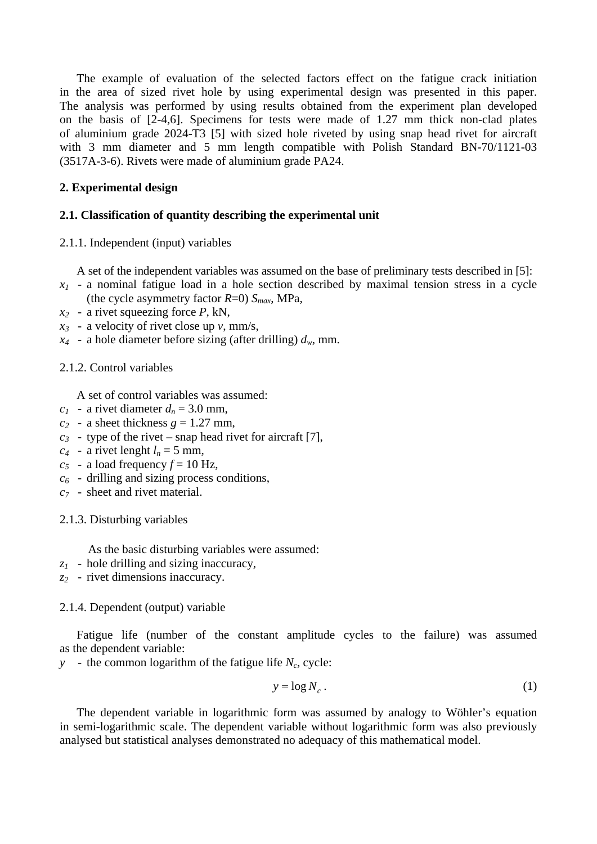The example of evaluation of the selected factors effect on the fatigue crack initiation in the area of sized rivet hole by using experimental design was presented in this paper. The analysis was performed by using results obtained from the experiment plan developed on the basis of [2-4,6]. Specimens for tests were made of 1.27 mm thick non-clad plates of aluminium grade 2024-T3 [5] with sized hole riveted by using snap head rivet for aircraft with 3 mm diameter and 5 mm length compatible with Polish Standard BN-70/1121-03 (3517A-3-6). Rivets were made of aluminium grade PA24.

# **2. Experimental design**

## **2.1. Classification of quantity describing the experimental unit**

### 2.1.1. Independent (input) variables

A set of the independent variables was assumed on the base of preliminary tests described in [5]:

- *x1* a nominal fatigue load in a hole section described by maximal tension stress in a cycle (the cycle asymmetry factor *R*=0) *Smax*, MPa,
- *x2* a rivet squeezing force *P*, kN,
- *x3* a velocity of rivet close up *v*, mm/s,
- $x_4$  a hole diameter before sizing (after drilling)  $d_w$ , mm.

## 2.1.2. Control variables

A set of control variables was assumed:

- $c_1$  a rivet diameter  $d_n = 3.0$  mm,
- $c_2$  a sheet thickness  $g = 1.27$  mm,
- $c_3$  type of the rivet snap head rivet for aircraft [7],
- $c_4$  a rivet lenght  $l_n = 5$  mm,
- $c_5$  a load frequency  $f = 10$  Hz,
- *c6* drilling and sizing process conditions,
- *c7* sheet and rivet material.

## 2.1.3. Disturbing variables

As the basic disturbing variables were assumed:

- *z1* hole drilling and sizing inaccuracy,
- *z2* rivet dimensions inaccuracy.

### 2.1.4. Dependent (output) variable

Fatigue life (number of the constant amplitude cycles to the failure) was assumed as the dependent variable:

*y* - the common logarithm of the fatigue life *N<sub>c</sub>*, cycle:

$$
y = \log N_c \,. \tag{1}
$$

The dependent variable in logarithmic form was assumed by analogy to Wöhler's equation in semi-logarithmic scale. The dependent variable without logarithmic form was also previously analysed but statistical analyses demonstrated no adequacy of this mathematical model.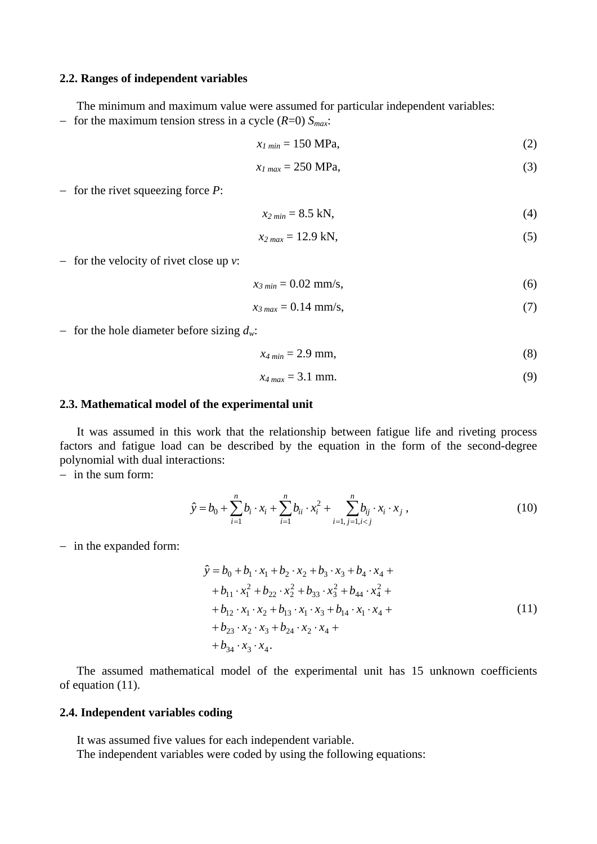### **2.2. Ranges of independent variables**

The minimum and maximum value were assumed for particular independent variables:

- for the maximum tension stress in a cycle  $(R=0)$   $S<sub>max</sub>$ :

$$
x_{I\ min} = 150\ \text{MPa},\tag{2}
$$

$$
x_{1\max} = 250 \text{ MPa},\tag{3}
$$

 $-$  for the rivet squeezing force  $P$ :

$$
x_{2\min} = 8.5 \text{ kN},\tag{4}
$$

$$
x_{2\max} = 12.9 \text{ kN},\tag{5}
$$

 $-$  for the velocity of rivet close up  $v$ :

$$
x_{3\min} = 0.02 \text{ mm/s},\tag{6}
$$

$$
x_{3\max} = 0.14 \text{ mm/s},\tag{7}
$$

- for the hole diameter before sizing  $d_w$ :

$$
x_{4\min} = 2.9 \text{ mm},\tag{8}
$$

$$
x_{4\max} = 3.1 \text{ mm.} \tag{9}
$$

### **2.3. Mathematical model of the experimental unit**

It was assumed in this work that the relationship between fatigue life and riveting process factors and fatigue load can be described by the equation in the form of the second-degree polynomial with dual interactions:

 $-$  in the sum form:

$$
\hat{y} = b_0 + \sum_{i=1}^n b_i \cdot x_i + \sum_{i=1}^n b_{ii} \cdot x_i^2 + \sum_{i=1, j=1, i < j}^n b_{ij} \cdot x_i \cdot x_j \,,\tag{10}
$$

- in the expanded form:

$$
\hat{y} = b_0 + b_1 \cdot x_1 + b_2 \cdot x_2 + b_3 \cdot x_3 + b_4 \cdot x_4 ++ b_{11} \cdot x_1^2 + b_{22} \cdot x_2^2 + b_{33} \cdot x_3^2 + b_{44} \cdot x_4^2 ++ b_{12} \cdot x_1 \cdot x_2 + b_{13} \cdot x_1 \cdot x_3 + b_{14} \cdot x_1 \cdot x_4 ++ b_{23} \cdot x_2 \cdot x_3 + b_{24} \cdot x_2 \cdot x_4 ++ b_{34} \cdot x_3 \cdot x_4.
$$
\n(11)

The assumed mathematical model of the experimental unit has 15 unknown coefficients of equation (11).

### **2.4. Independent variables coding**

It was assumed five values for each independent variable.

The independent variables were coded by using the following equations: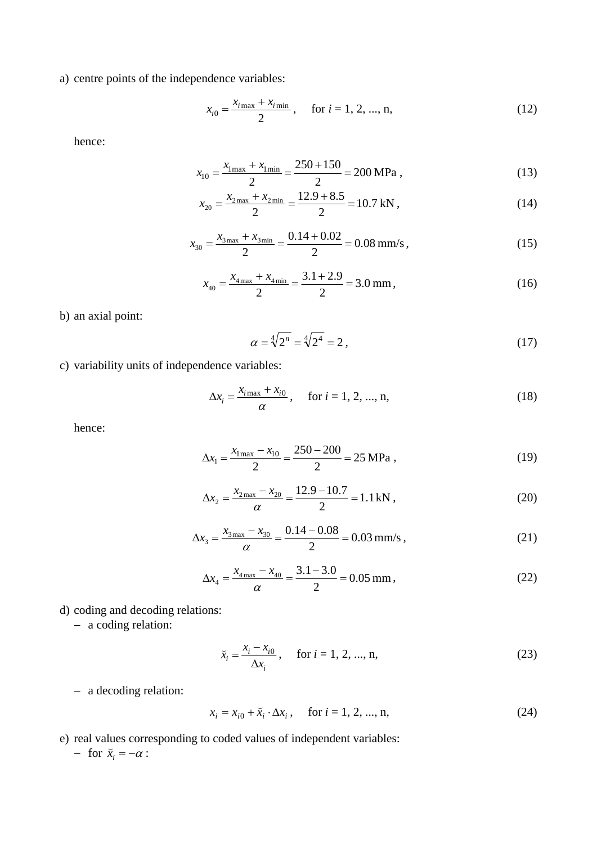a) centre points of the independence variables:

$$
x_{i0} = \frac{x_{i\max} + x_{i\min}}{2}, \quad \text{for } i = 1, 2, ..., n,
$$
 (12)

hence:

$$
x_{10} = \frac{x_{1\,\text{max}} + x_{1\,\text{min}}}{2} = \frac{250 + 150}{2} = 200 \,\text{MPa} \,,\tag{13}
$$

$$
x_{20} = \frac{x_{2\,\text{max}} + x_{2\,\text{min}}}{2} = \frac{12.9 + 8.5}{2} = 10.7 \,\text{kN},\tag{14}
$$

$$
x_{30} = \frac{x_{3\,\text{max}} + x_{3\,\text{min}}}{2} = \frac{0.14 + 0.02}{2} = 0.08 \,\text{mm/s} \,,\tag{15}
$$

$$
x_{40} = \frac{x_{4\text{max}} + x_{4\text{min}}}{2} = \frac{3.1 + 2.9}{2} = 3.0 \text{ mm},\tag{16}
$$

b) an axial point:

$$
\alpha = \sqrt[4]{2^n} = \sqrt[4]{2^4} = 2 \,, \tag{17}
$$

c) variability units of independence variables:

$$
\Delta x_i = \frac{x_{i\max} + x_{i0}}{\alpha}, \quad \text{for } i = 1, 2, ..., n,
$$
 (18)

hence:

$$
\Delta x_1 = \frac{x_{1\,\text{max}} - x_{10}}{2} = \frac{250 - 200}{2} = 25 \,\text{MPa} \,,\tag{19}
$$

$$
\Delta x_2 = \frac{x_{2\text{max}} - x_{20}}{\alpha} = \frac{12.9 - 10.7}{2} = 1.1 \,\text{kN} \,,\tag{20}
$$

$$
\Delta x_3 = \frac{x_{3\,\text{max}} - x_{30}}{\alpha} = \frac{0.14 - 0.08}{2} = 0.03 \,\text{mm/s} \,,\tag{21}
$$

$$
\Delta x_4 = \frac{x_{4\,\text{max}} - x_{40}}{\alpha} = \frac{3.1 - 3.0}{2} = 0.05 \,\text{mm},\tag{22}
$$

d) coding and decoding relations:

- a coding relation:

$$
\bar{x}_i = \frac{x_i - x_{i0}}{\Delta x_i}, \quad \text{for } i = 1, 2, ..., n,
$$
 (23)

- a decoding relation:

$$
x_i = x_{i0} + \bar{x}_i \cdot \Delta x_i, \quad \text{for } i = 1, 2, ..., n,
$$
 (24)

e) real values corresponding to coded values of independent variables:

- for  $\breve{x}_i = -\alpha$ :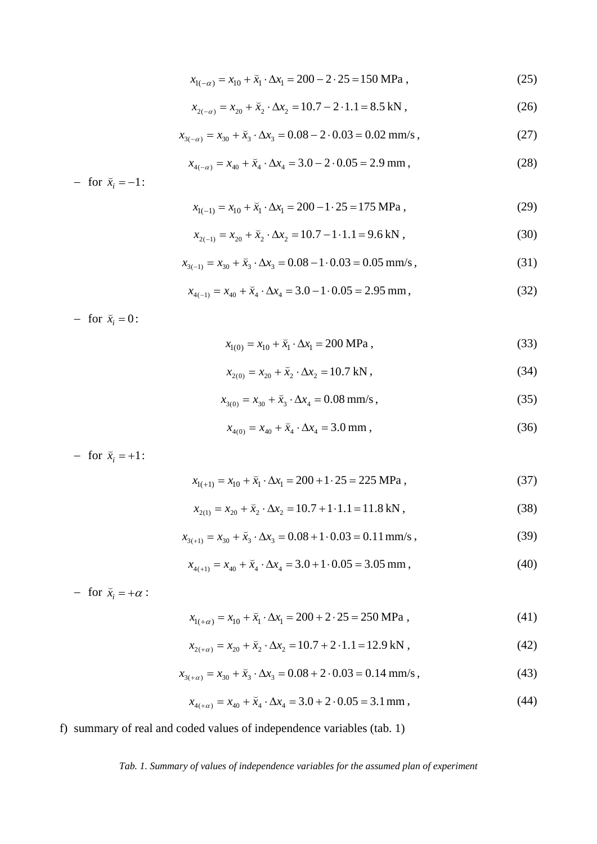$$
x_{1(-\alpha)} = x_{10} + \bar{x}_1 \cdot \Delta x_1 = 200 - 2 \cdot 25 = 150 \text{ MPa}, \qquad (25)
$$

$$
x_{2(-\alpha)} = x_{20} + \bar{x}_2 \cdot \Delta x_2 = 10.7 - 2 \cdot 1.1 = 8.5 \text{ kN},\tag{26}
$$

$$
x_{3(-\alpha)} = x_{30} + \bar{x}_3 \cdot \Delta x_3 = 0.08 - 2 \cdot 0.03 = 0.02 \text{ mm/s}, \qquad (27)
$$

$$
x_{4(-\alpha)} = x_{40} + \bar{x}_4 \cdot \Delta x_4 = 3.0 - 2 \cdot 0.05 = 2.9 \text{ mm},\tag{28}
$$

- for  $\bar{x}_i = -1$ :

$$
x_{1(-1)} = x_{10} + \bar{x}_1 \cdot \Delta x_1 = 200 - 1 \cdot 25 = 175 \text{ MPa}, \qquad (29)
$$

$$
x_{2(-1)} = x_{20} + \breve{x}_2 \cdot \Delta x_2 = 10.7 - 1 \cdot 1.1 = 9.6 \text{ kN}, \qquad (30)
$$

$$
x_{3(-1)} = x_{30} + \tilde{x}_3 \cdot \Delta x_3 = 0.08 - 1 \cdot 0.03 = 0.05 \text{ mm/s},\tag{31}
$$

$$
x_{4(-1)} = x_{40} + \tilde{x}_4 \cdot \Delta x_4 = 3.0 - 1 \cdot 0.05 = 2.95 \text{ mm},
$$
\n(32)

- for  $\ddot{x}_i = 0$ :

$$
x_{1(0)} = x_{10} + \bar{x}_1 \cdot \Delta x_1 = 200 \text{ MPa}, \qquad (33)
$$

$$
x_{2(0)} = x_{20} + \breve{x}_2 \cdot \Delta x_2 = 10.7 \text{ kN},\tag{34}
$$

$$
x_{3(0)} = x_{30} + \tilde{x}_3 \cdot \Delta x_4 = 0.08 \text{ mm/s}, \qquad (35)
$$

$$
x_{4(0)} = x_{40} + \breve{x}_4 \cdot \Delta x_4 = 3.0 \text{ mm},\tag{36}
$$

- for  $\bar{x}_i = +1$ :

$$
x_{1(+1)} = x_{10} + \bar{x}_1 \cdot \Delta x_1 = 200 + 1 \cdot 25 = 225 \text{ MPa}, \qquad (37)
$$

$$
x_{2(1)} = x_{20} + \tilde{x}_2 \cdot \Delta x_2 = 10.7 + 1 \cdot 1.1 = 11.8 \text{ kN},\tag{38}
$$

$$
x_{3(+1)} = x_{30} + \breve{x}_3 \cdot \Delta x_3 = 0.08 + 1 \cdot 0.03 = 0.11 \,\text{mm/s} \,,\tag{39}
$$

$$
x_{4(+1)} = x_{40} + \breve{x}_4 \cdot \Delta x_4 = 3.0 + 1 \cdot 0.05 = 3.05 \text{ mm},\tag{40}
$$

- for  $\breve{x}_i = +\alpha$ :

$$
x_{1(+\alpha)} = x_{10} + \bar{x}_1 \cdot \Delta x_1 = 200 + 2 \cdot 25 = 250 \text{ MPa}, \qquad (41)
$$

$$
x_{2(+\alpha)} = x_{20} + \tilde{x}_2 \cdot \Delta x_2 = 10.7 + 2 \cdot 1.1 = 12.9 \text{ kN},\tag{42}
$$

$$
x_{3(+\alpha)} = x_{30} + \bar{x}_3 \cdot \Delta x_3 = 0.08 + 2 \cdot 0.03 = 0.14 \text{ mm/s},\tag{43}
$$

$$
x_{4(+\alpha)} = x_{40} + \bar{x}_4 \cdot \Delta x_4 = 3.0 + 2 \cdot 0.05 = 3.1 \,\text{mm},\tag{44}
$$

f) summary of real and coded values of independence variables (tab. 1)

## *Tab. 1. Summary of values of independence variables for the assumed plan of experiment*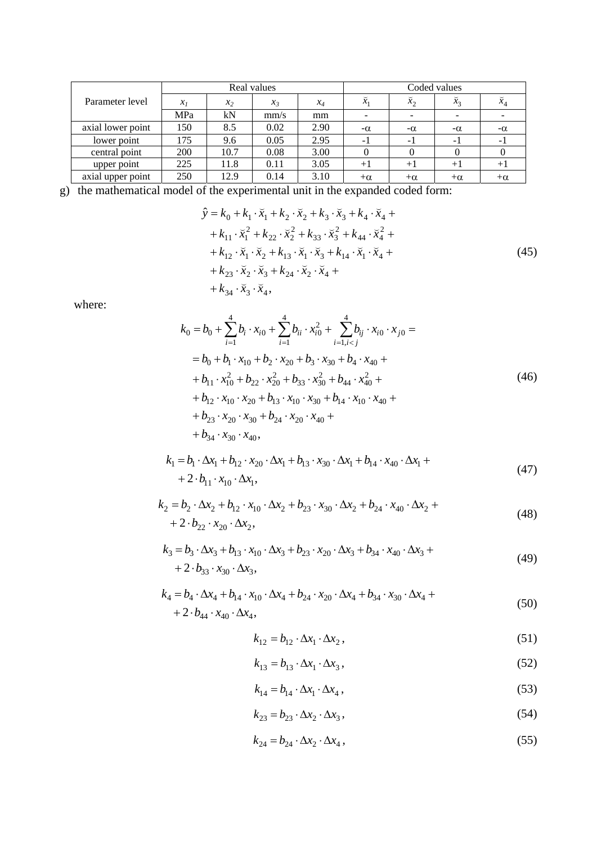|                   |       |       | Real values           |       | Coded values |           |                          |           |  |
|-------------------|-------|-------|-----------------------|-------|--------------|-----------|--------------------------|-----------|--|
| Parameter level   | $x_1$ | $x_2$ | $\mathcal{X}_{\beta}$ | $x_4$ | $x_1$        | $x_2$     | $x_3$                    | $x_4$     |  |
|                   | MPa   | kN    | mm/s                  | mm    |              |           | $\overline{\phantom{a}}$ |           |  |
| axial lower point | 150   | 8.5   | 0.02                  | 2.90  | $-\alpha$    | $-\alpha$ | $-\alpha$                | $-\alpha$ |  |
| lower point       | 175   | 9.6   | 0.05                  | 2.95  | - 1          | - 1       | $\overline{\phantom{0}}$ | $\sim$    |  |
| central point     | 200   | 10.7  | 0.08                  | 3.00  |              |           |                          |           |  |
| upper point       | 225   | 11.8  | 0.11                  | 3.05  | $+1$         | $^{+1}$   | $+1$                     |           |  |
| axial upper point | 250   | 12.9  | 0.14                  | 3.10  | $+\alpha$    | $+\alpha$ | $+\alpha$                | $+\alpha$ |  |

g) the mathematical model of the experimental unit in the expanded coded form:

$$
\hat{y} = k_0 + k_1 \cdot \vec{x}_1 + k_2 \cdot \vec{x}_2 + k_3 \cdot \vec{x}_3 + k_4 \cdot \vec{x}_4 + \n+ k_{11} \cdot \vec{x}_1^2 + k_{22} \cdot \vec{x}_2^2 + k_{33} \cdot \vec{x}_3^2 + k_{44} \cdot \vec{x}_4^2 + \n+ k_{12} \cdot \vec{x}_1 \cdot \vec{x}_2 + k_{13} \cdot \vec{x}_1 \cdot \vec{x}_3 + k_{14} \cdot \vec{x}_1 \cdot \vec{x}_4 + \n+ k_{23} \cdot \vec{x}_2 \cdot \vec{x}_3 + k_{24} \cdot \vec{x}_2 \cdot \vec{x}_4 + \n+ k_{34} \cdot \vec{x}_3 \cdot \vec{x}_4,
$$
\n(45)

where:

$$
k_0 = b_0 + \sum_{i=1}^4 b_i \cdot x_{i0} + \sum_{i=1}^4 b_{ii} \cdot x_{i0}^2 + \sum_{i=1, i < j}^4 b_{ij} \cdot x_{i0} \cdot x_{j0} =
$$
\n
$$
= b_0 + b_1 \cdot x_{10} + b_2 \cdot x_{20} + b_3 \cdot x_{30} + b_4 \cdot x_{40} +
$$
\n
$$
+ b_{11} \cdot x_{10}^2 + b_{22} \cdot x_{20}^2 + b_{33} \cdot x_{30}^2 + b_{44} \cdot x_{40}^2 +
$$
\n
$$
+ b_{12} \cdot x_{10} \cdot x_{20} + b_{13} \cdot x_{10} \cdot x_{30} + b_{14} \cdot x_{10} \cdot x_{40} +
$$
\n
$$
+ b_{23} \cdot x_{20} \cdot x_{30} + b_{24} \cdot x_{20} \cdot x_{40} +
$$
\n
$$
+ b_{34} \cdot x_{30} \cdot x_{40},
$$
\n(46)

$$
k_1 = b_1 \cdot \Delta x_1 + b_{12} \cdot x_{20} \cdot \Delta x_1 + b_{13} \cdot x_{30} \cdot \Delta x_1 + b_{14} \cdot x_{40} \cdot \Delta x_1 + + 2 \cdot b_{11} \cdot x_{10} \cdot \Delta x_1,
$$
 (47)

$$
k_2 = b_2 \cdot \Delta x_2 + b_{12} \cdot x_{10} \cdot \Delta x_2 + b_{23} \cdot x_{30} \cdot \Delta x_2 + b_{24} \cdot x_{40} \cdot \Delta x_2 +
$$
  
+ 2 \cdot b\_{22} \cdot x\_{20} \cdot \Delta x\_2, (48)

$$
k_3 = b_3 \cdot \Delta x_3 + b_{13} \cdot x_{10} \cdot \Delta x_3 + b_{23} \cdot x_{20} \cdot \Delta x_3 + b_{34} \cdot x_{40} \cdot \Delta x_3 + + 2 \cdot b_{33} \cdot x_{30} \cdot \Delta x_3,
$$
 (49)

$$
k_4 = b_4 \cdot \Delta x_4 + b_{14} \cdot x_{10} \cdot \Delta x_4 + b_{24} \cdot x_{20} \cdot \Delta x_4 + b_{34} \cdot x_{30} \cdot \Delta x_4 + + 2 \cdot b_{44} \cdot x_{40} \cdot \Delta x_4,
$$
 (50)

$$
k_{12} = b_{12} \cdot \Delta x_1 \cdot \Delta x_2, \qquad (51)
$$

$$
k_{13} = b_{13} \cdot \Delta x_1 \cdot \Delta x_3, \tag{52}
$$

$$
k_{14} = b_{14} \cdot \Delta x_1 \cdot \Delta x_4, \qquad (53)
$$

$$
k_{23} = b_{23} \cdot \Delta x_2 \cdot \Delta x_3, \tag{54}
$$

$$
k_{24} = b_{24} \cdot \Delta x_2 \cdot \Delta x_4, \qquad (55)
$$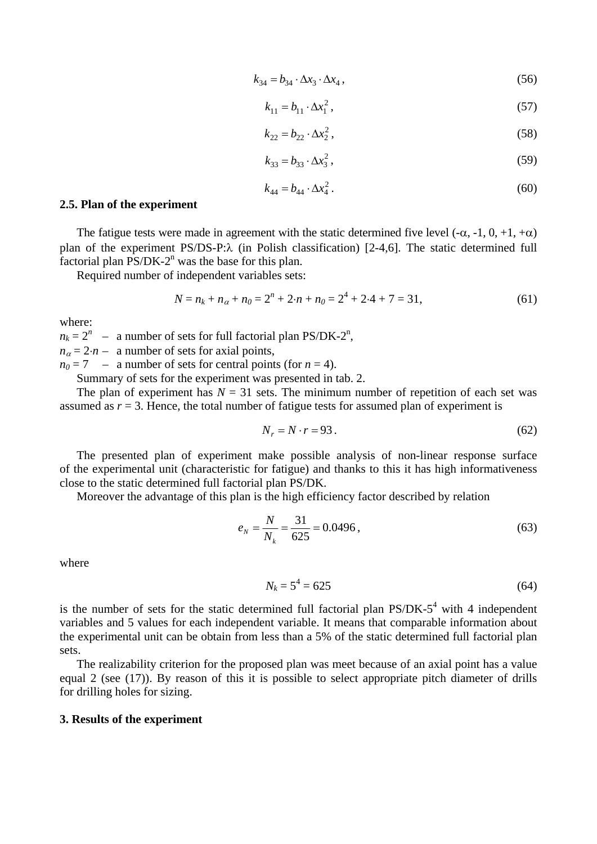$$
k_{34} = b_{34} \cdot \Delta x_3 \cdot \Delta x_4, \tag{56}
$$

$$
k_{11} = b_{11} \cdot \Delta x_1^2, \tag{57}
$$

$$
k_{22} = b_{22} \cdot \Delta x_2^2, \tag{58}
$$

$$
k_{33} = b_{33} \cdot \Delta x_3^2 \,, \tag{59}
$$

$$
k_{44} = b_{44} \cdot \Delta x_4^2 \,. \tag{60}
$$

#### **2.5. Plan of the experiment**

The fatigue tests were made in agreement with the static determined five level  $(-\alpha, -1, 0, +1, +\alpha)$ plan of the experiment PS/DS-P: $\lambda$  (in Polish classification) [2-4,6]. The static determined full factorial plan  $PS/DK-2^n$  was the base for this plan.

Required number of independent variables sets:

$$
N = n_k + n_{\alpha} + n_0 = 2^n + 2 \cdot n + n_0 = 2^4 + 2 \cdot 4 + 7 = 31,\tag{61}
$$

where:

 $n_k = 2^n$  – a number of sets for full factorial plan PS/DK-2<sup>n</sup>,

 $n_a = 2 \cdot n$  – a number of sets for axial points,

 $n_0 = 7$  – a number of sets for central points (for  $n = 4$ ).

Summary of sets for the experiment was presented in tab. 2.

The plan of experiment has  $N = 31$  sets. The minimum number of repetition of each set was assumed as  $r = 3$ . Hence, the total number of fatigue tests for assumed plan of experiment is

$$
N_r = N \cdot r = 93. \tag{62}
$$

The presented plan of experiment make possible analysis of non-linear response surface of the experimental unit (characteristic for fatigue) and thanks to this it has high informativeness close to the static determined full factorial plan PS/DK.

Moreover the advantage of this plan is the high efficiency factor described by relation

$$
e_N = \frac{N}{N_k} = \frac{31}{625} = 0.0496\,,\tag{63}
$$

where

$$
N_k = 5^4 = 625\tag{64}
$$

is the number of sets for the static determined full factorial plan  $PS/DK-5<sup>4</sup>$  with 4 independent variables and 5 values for each independent variable. It means that comparable information about the experimental unit can be obtain from less than a 5% of the static determined full factorial plan sets.

The realizability criterion for the proposed plan was meet because of an axial point has a value equal 2 (see (17)). By reason of this it is possible to select appropriate pitch diameter of drills for drilling holes for sizing.

#### **3. Results of the experiment**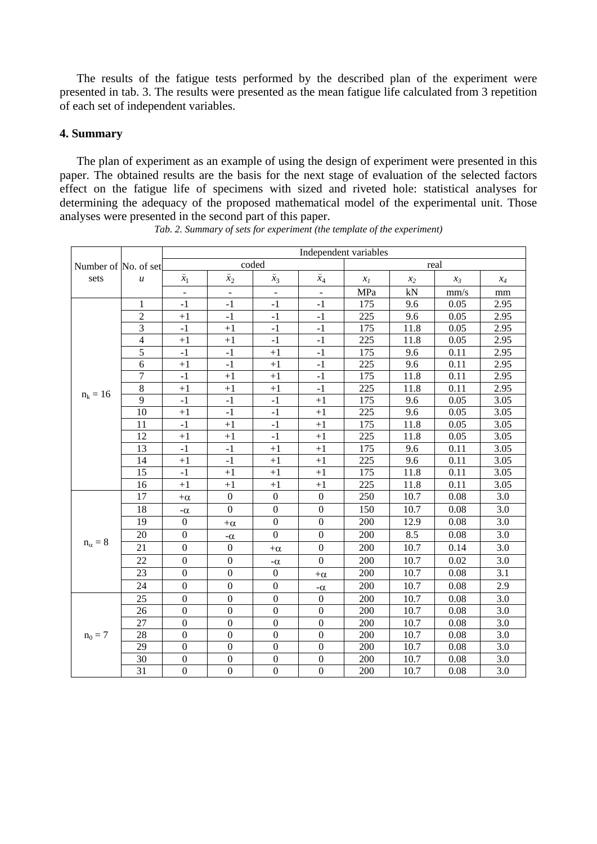The results of the fatigue tests performed by the described plan of the experiment were presented in tab. 3. The results were presented as the mean fatigue life calculated from 3 repetition of each set of independent variables.

## **4. Summary**

The plan of experiment as an example of using the design of experiment were presented in this paper. The obtained results are the basis for the next stage of evaluation of the selected factors effect on the fatigue life of specimens with sized and riveted hole: statistical analyses for determining the adequacy of the proposed mathematical model of the experimental unit. Those analyses were presented in the second part of this paper.

|                      |                  | Independent variables    |                          |                  |                  |       |       |                |       |  |
|----------------------|------------------|--------------------------|--------------------------|------------------|------------------|-------|-------|----------------|-------|--|
| Number of No. of set |                  | coded                    |                          |                  |                  | real  |       |                |       |  |
| sets                 | $\boldsymbol{u}$ | $\breve{x}_1$            | $\breve{x}_2$            | $\bar{x}_3$      | $\bar{x}_4$      | $x_I$ | $x_2$ | $\chi_{\beta}$ | $x_4$ |  |
|                      |                  | $\overline{\phantom{a}}$ | $\overline{\phantom{a}}$ |                  | $\overline{a}$   | MPa   | kN    | mm/s           | mm    |  |
|                      | $\mathbf{1}$     | $-1$                     | $-1$                     | $-1$             | $-1$             | 175   | 9.6   | 0.05           | 2.95  |  |
|                      | $\overline{2}$   | $+1$                     | $-1$                     | $-1$             | $-1$             | 225   | 9.6   | 0.05           | 2.95  |  |
|                      | 3                | $-1$                     | $+1$                     | $-1$             | $-1$             | 175   | 11.8  | 0.05           | 2.95  |  |
|                      | $\overline{4}$   | $+1$                     | $+1$                     | $-1$             | $-1$             | 225   | 11.8  | 0.05           | 2.95  |  |
|                      | 5                | $-1$                     | $-1$                     | $+1$             | $-1$             | 175   | 9.6   | 0.11           | 2.95  |  |
|                      | 6                | $+1$                     | $-1$                     | $+1$             | $-1$             | 225   | 9.6   | 0.11           | 2.95  |  |
|                      | 7                | $-1$                     | $+1$                     | $+1$             | $-1$             | 175   | 11.8  | 0.11           | 2.95  |  |
|                      | $\,8\,$          | $+1$                     | $+1$                     | $+1$             | $-1$             | 225   | 11.8  | 0.11           | 2.95  |  |
| $n_k = 16$           | 9                | $-1$                     | $-1$                     | $-1$             | $+1$             | 175   | 9.6   | 0.05           | 3.05  |  |
|                      | 10               | $+1$                     | $-1$                     | $-1$             | $+1$             | 225   | 9.6   | 0.05           | 3.05  |  |
|                      | 11               | $-1$                     | $+1$                     | $-1$             | $+1$             | 175   | 11.8  | 0.05           | 3.05  |  |
|                      | 12               | $+1$                     | $+1$                     | $-1$             | $+1$             | 225   | 11.8  | 0.05           | 3.05  |  |
|                      | 13               | $-1$                     | $-1$                     | $+1$             | $+1$             | 175   | 9.6   | 0.11           | 3.05  |  |
|                      | 14               | $+1$                     | $-1$                     | $+1$             | $+1$             | 225   | 9.6   | 0.11           | 3.05  |  |
|                      | 15               | $-1$                     | $+1$                     | $+1$             | $\bf +1$         | 175   | 11.8  | 0.11           | 3.05  |  |
|                      | 16               | $+1$                     | $+1$                     | $+1$             | $+1$             | 225   | 11.8  | 0.11           | 3.05  |  |
|                      | 17               | $+\alpha$                | $\boldsymbol{0}$         | $\boldsymbol{0}$ | $\mathbf{0}$     | 250   | 10.7  | 0.08           | 3.0   |  |
|                      | 18               | $-\alpha$                | $\overline{0}$           | $\boldsymbol{0}$ | $\mathbf{0}$     | 150   | 10.7  | 0.08           | 3.0   |  |
|                      | 19               | $\mathbf{0}$             | $+\alpha$                | $\boldsymbol{0}$ | $\boldsymbol{0}$ | 200   | 12.9  | 0.08           | 3.0   |  |
|                      | 20               | $\boldsymbol{0}$         | $-\alpha$                | $\mathbf{0}$     | $\boldsymbol{0}$ | 200   | 8.5   | 0.08           | 3.0   |  |
| $n_{\alpha} = 8$     | 21               | $\boldsymbol{0}$         | $\boldsymbol{0}$         | $+\alpha$        | $\boldsymbol{0}$ | 200   | 10.7  | 0.14           | 3.0   |  |
|                      | 22               | $\mathbf{0}$             | $\overline{0}$           | $-\alpha$        | $\mathbf{0}$     | 200   | 10.7  | 0.02           | 3.0   |  |
|                      | 23               | $\mathbf{0}$             | $\boldsymbol{0}$         | $\boldsymbol{0}$ | $+\alpha$        | 200   | 10.7  | 0.08           | 3.1   |  |
|                      | 24               | $\boldsymbol{0}$         | $\boldsymbol{0}$         | $\boldsymbol{0}$ | $-\alpha$        | 200   | 10.7  | 0.08           | 2.9   |  |
|                      | 25               | $\boldsymbol{0}$         | $\boldsymbol{0}$         | $\boldsymbol{0}$ | $\boldsymbol{0}$ | 200   | 10.7  | 0.08           | 3.0   |  |
|                      | 26               | $\boldsymbol{0}$         | $\boldsymbol{0}$         | $\boldsymbol{0}$ | $\boldsymbol{0}$ | 200   | 10.7  | 0.08           | 3.0   |  |
|                      | 27               | $\boldsymbol{0}$         | $\boldsymbol{0}$         | $\boldsymbol{0}$ | $\mathbf{0}$     | 200   | 10.7  | 0.08           | 3.0   |  |
| $n_0 = 7$            | 28               | $\boldsymbol{0}$         | $\boldsymbol{0}$         | $\boldsymbol{0}$ | $\mathbf{0}$     | 200   | 10.7  | 0.08           | 3.0   |  |
|                      | 29               | $\boldsymbol{0}$         | $\boldsymbol{0}$         | $\boldsymbol{0}$ | $\boldsymbol{0}$ | 200   | 10.7  | 0.08           | 3.0   |  |
|                      | 30               | $\boldsymbol{0}$         | $\boldsymbol{0}$         | $\boldsymbol{0}$ | $\boldsymbol{0}$ | 200   | 10.7  | 0.08           | 3.0   |  |
|                      | $\overline{31}$  | $\boldsymbol{0}$         | $\overline{0}$           | $\mathbf{0}$     | $\mathbf{0}$     | 200   | 10.7  | 0.08           | 3.0   |  |

*Tab. 2. Summary of sets for experiment (the template of the experiment)*